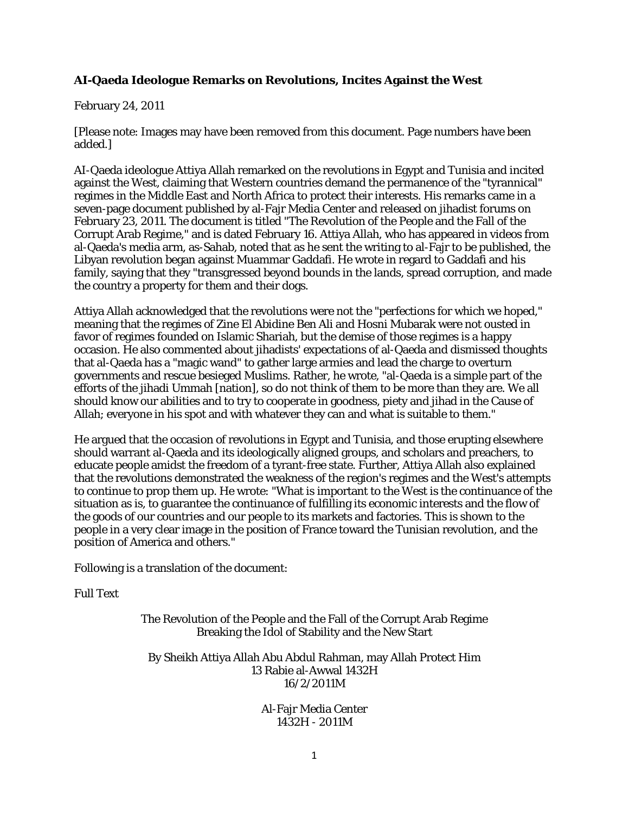## **AI-Qaeda Ideologue Remarks on Revolutions, Incites Against the West**

## February 24, 2011

[Please note: Images may have been removed from this document. Page numbers have been added.]

AI-Qaeda ideologue Attiya Allah remarked on the revolutions in Egypt and Tunisia and incited against the West, claiming that Western countries demand the permanence of the "tyrannical" regimes in the Middle East and North Africa to protect their interests. His remarks came in a seven-page document published by al-Fajr Media Center and released on jihadist forums on February 23, 2011. The document is titled "The Revolution of the People and the Fall of the Corrupt Arab Regime," and is dated February 16. Attiya Allah, who has appeared in videos from al-Qaeda's media arm, as-Sahab, noted that as he sent the writing to al-Fajr to be published, the Libyan revolution began against Muammar Gaddafi. He wrote in regard to Gaddafi and his family, saying that they "transgressed beyond bounds in the lands, spread corruption, and made the country a property for them and their dogs.

Attiya Allah acknowledged that the revolutions were not the "perfections for which we hoped," meaning that the regimes of Zine El Abidine Ben Ali and Hosni Mubarak were not ousted in favor of regimes founded on Islamic Shariah, but the demise of those regimes is a happy occasion. He also commented about jihadists' expectations of al-Qaeda and dismissed thoughts that al-Qaeda has a "magic wand" to gather large armies and lead the charge to overturn governments and rescue besieged Muslims. Rather, he wrote, "al-Qaeda is a simple part of the efforts of the jihadi Ummah [nation], so do not think of them to be more than they are. We all should know our abilities and to try to cooperate in goodness, piety and jihad in the Cause of Allah; everyone in his spot and with whatever they can and what is suitable to them."

He argued that the occasion of revolutions in Egypt and Tunisia, and those erupting elsewhere should warrant al-Qaeda and its ideologically aligned groups, and scholars and preachers, to educate people amidst the freedom of a tyrant-free state. Further, Attiya Allah also explained that the revolutions demonstrated the weakness of the region's regimes and the West's attempts to continue to prop them up. He wrote: "What is important to the West is the continuance of the situation as is, to guarantee the continuance of fulfilling its economic interests and the flow of the goods of our countries and our people to its markets and factories. This is shown to the people in a very clear image in the position of France toward the Tunisian revolution, and the position of America and others."

Following is a translation of the document:

Full Text

The Revolution of the People and the Fall of the Corrupt Arab Regime Breaking the Idol of Stability and the New Start

By Sheikh Attiya Allah Abu Abdul Rahman, may Allah Protect Him 13 Rabie al-Awwal 1432H 16/2/2011M

> Al-Fajr Media Center 1432H - 2011M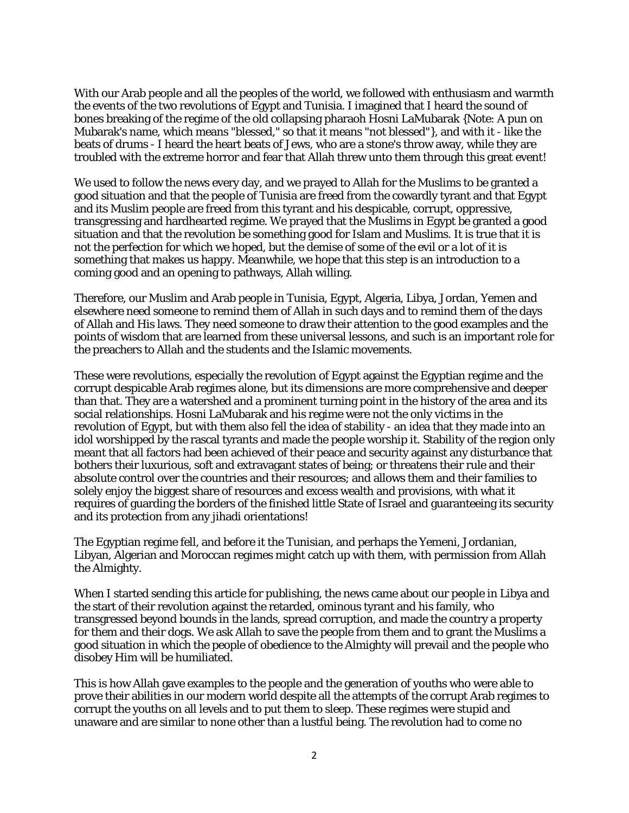With our Arab people and all the peoples of the world, we followed with enthusiasm and warmth the events of the two revolutions of Egypt and Tunisia. I imagined that I heard the sound of bones breaking of the regime of the old collapsing pharaoh Hosni LaMubarak {Note: A pun on Mubarak's name, which means "blessed," so that it means "not blessed"}, and with it - like the beats of drums - I heard the heart beats of Jews, who are a stone's throw away, while they are troubled with the extreme horror and fear that Allah threw unto them through this great event!

We used to follow the news every day, and we prayed to Allah for the Muslims to be granted a good situation and that the people of Tunisia are freed from the cowardly tyrant and that Egypt and its Muslim people are freed from this tyrant and his despicable, corrupt, oppressive, transgressing and hardhearted regime. We prayed that the Muslims in Egypt be granted a good situation and that the revolution be something good for Islam and Muslims. It is true that it is not the perfection for which we hoped, but the demise of some of the evil or a lot of it is something that makes us happy. Meanwhile, we hope that this step is an introduction to a coming good and an opening to pathways, Allah willing.

Therefore, our Muslim and Arab people in Tunisia, Egypt, Algeria, Libya, Jordan, Yemen and elsewhere need someone to remind them of Allah in such days and to remind them of the days of Allah and His laws. They need someone to draw their attention to the good examples and the points of wisdom that are learned from these universal lessons, and such is an important role for the preachers to Allah and the students and the Islamic movements.

These were revolutions, especially the revolution of Egypt against the Egyptian regime and the corrupt despicable Arab regimes alone, but its dimensions are more comprehensive and deeper than that. They are a watershed and a prominent turning point in the history of the area and its social relationships. Hosni LaMubarak and his regime were not the only victims in the revolution of Egypt, but with them also fell the idea of stability - an idea that they made into an idol worshipped by the rascal tyrants and made the people worship it. Stability of the region only meant that all factors had been achieved of their peace and security against any disturbance that bothers their luxurious, soft and extravagant states of being; or threatens their rule and their absolute control over the countries and their resources; and allows them and their families to solely enjoy the biggest share of resources and excess wealth and provisions, with what it requires of guarding the borders of the finished little State of Israel and guaranteeing its security and its protection from any jihadi orientations!

The Egyptian regime fell, and before it the Tunisian, and perhaps the Yemeni, Jordanian, Libyan, Algerian and Moroccan regimes might catch up with them, with permission from Allah the Almighty.

When I started sending this article for publishing, the news came about our people in Libya and the start of their revolution against the retarded, ominous tyrant and his family, who transgressed beyond bounds in the lands, spread corruption, and made the country a property for them and their dogs. We ask Allah to save the people from them and to grant the Muslims a good situation in which the people of obedience to the Almighty will prevail and the people who disobey Him will be humiliated.

This is how Allah gave examples to the people and the generation of youths who were able to prove their abilities in our modern world despite all the attempts of the corrupt Arab regimes to corrupt the youths on all levels and to put them to sleep. These regimes were stupid and unaware and are similar to none other than a lustful being. The revolution had to come no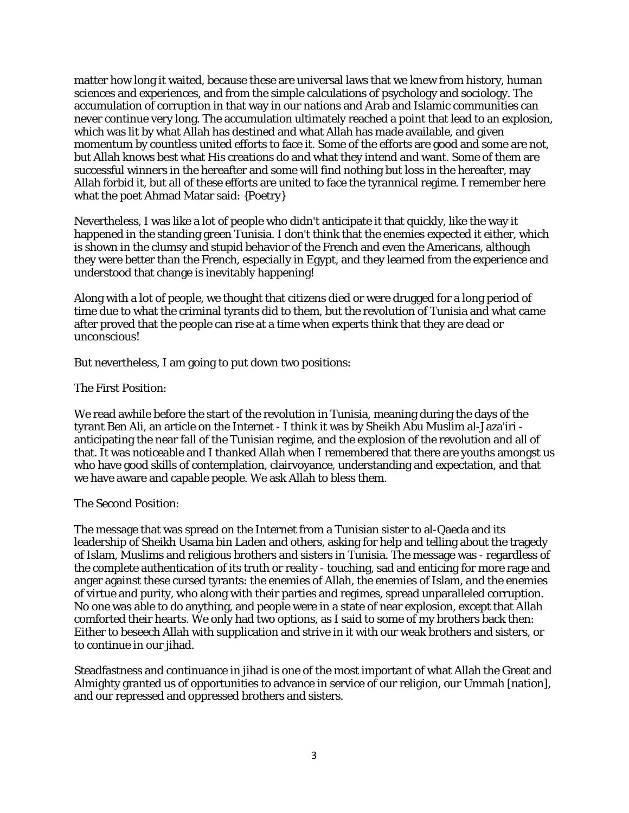matter how long it waited, because these are universal laws that we knew from history, human sciences and experiences, and from the simple calculations of psychology and sociology. The accumulation of corruption in that way in our nations and Arab and Islamic communities can never continue very long. The accumulation ultimately reached a point that lead to an explosion, which was lit by what Allah has destined and what Allah has made available, and given momentum by countless united efforts to face it. Some of the efforts are good and some are not, but Allah knows best what His creations do and what they intend and want. Some of them are successful winners in the hereafter and some will find nothing but loss in the hereafter, may Allah forbid it, but all of these efforts are united to face the tyrannical regime. I remember here what the poet Ahmad Matar said: {Poetry}

Nevertheless, I was like a lot of people who didn't anticipate it that quickly, like the way it happened in the standing green Tunisia. I don't think that the enemies expected it either, which is shown in the clumsy and stupid behavior of the French and even the Americans, although they were better than the French, especially in Egypt, and they learned from the experience and understood that change is inevitably happening!

Along with a lot of people, we thought that citizens died or were drugged for a long period of time due to what the criminal tyrants did to them, but the revolution of Tunisia and what came after proved that the people can rise at a time when experts think that they are dead or unconscious!

But nevertheless, I am going to put down two positions:

## The First Position:

We read awhile before the start of the revolution in Tunisia, meaning during the days of the tyrant Ben Ali, an article on the Internet - I think it was by Sheikh Abu Muslim al-Jaza'iri anticipating the near fall of the Tunisian regime, and the explosion of the revolution and all of that. It was noticeable and I thanked Allah when I remembered that there are youths amongst us who have good skills of contemplation, clairvoyance, understanding and expectation, and that we have aware and capable people. We ask Allah to bless them.

## The Second Position:

The message that was spread on the Internet from a Tunisian sister to al-Qaeda and its leadership of Sheikh Usama bin Laden and others, asking for help and telling about the tragedy of Islam, Muslims and religious brothers and sisters in Tunisia. The message was - regardless of the complete authentication of its truth or reality - touching, sad and enticing for more rage and anger against these cursed tyrants: the enemies of Allah, the enemies of Islam, and the enemies of virtue and purity, who along with their parties and regimes, spread unparalleled corruption. No one was able to do anything, and people were in a state of near explosion, except that Allah comforted their hearts. We only had two options, as I said to some of my brothers back then: Either to beseech Allah with supplication and strive in it with our weak brothers and sisters, or to continue in our jihad.

Steadfastness and continuance in jihad is one of the most important of what Allah the Great and Almighty granted us of opportunities to advance in service of our religion, our Ummah [nation], and our repressed and oppressed brothers and sisters.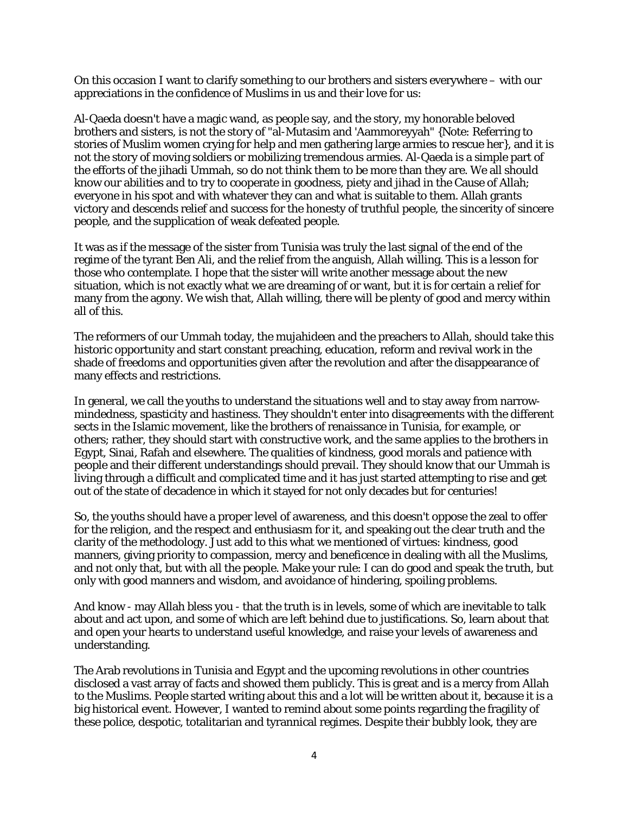On this occasion I want to clarify something to our brothers and sisters everywhere – with our appreciations in the confidence of Muslims in us and their love for us:

Al-Qaeda doesn't have a magic wand, as people say, and the story, my honorable beloved brothers and sisters, is not the story of "al-Mutasim and 'Aammoreyyah" {Note: Referring to stories of Muslim women crying for help and men gathering large armies to rescue her}, and it is not the story of moving soldiers or mobilizing tremendous armies. Al-Qaeda is a simple part of the efforts of the jihadi Ummah, so do not think them to be more than they are. We all should know our abilities and to try to cooperate in goodness, piety and jihad in the Cause of Allah; everyone in his spot and with whatever they can and what is suitable to them. Allah grants victory and descends relief and success for the honesty of truthful people, the sincerity of sincere people, and the supplication of weak defeated people.

It was as if the message of the sister from Tunisia was truly the last signal of the end of the regime of the tyrant Ben Ali, and the relief from the anguish, Allah willing. This is a lesson for those who contemplate. I hope that the sister will write another message about the new situation, which is not exactly what we are dreaming of or want, but it is for certain a relief for many from the agony. We wish that, Allah willing, there will be plenty of good and mercy within all of this.

The reformers of our Ummah today, the mujahideen and the preachers to Allah, should take this historic opportunity and start constant preaching, education, reform and revival work in the shade of freedoms and opportunities given after the revolution and after the disappearance of many effects and restrictions.

In general, we call the youths to understand the situations well and to stay away from narrowmindedness, spasticity and hastiness. They shouldn't enter into disagreements with the different sects in the Islamic movement, like the brothers of renaissance in Tunisia, for example, or others; rather, they should start with constructive work, and the same applies to the brothers in Egypt, Sinai, Rafah and elsewhere. The qualities of kindness, good morals and patience with people and their different understandings should prevail. They should know that our Ummah is living through a difficult and complicated time and it has just started attempting to rise and get out of the state of decadence in which it stayed for not only decades but for centuries!

So, the youths should have a proper level of awareness, and this doesn't oppose the zeal to offer for the religion, and the respect and enthusiasm for it, and speaking out the clear truth and the clarity of the methodology. Just add to this what we mentioned of virtues: kindness, good manners, giving priority to compassion, mercy and beneficence in dealing with all the Muslims, and not only that, but with all the people. Make your rule: I can do good and speak the truth, but only with good manners and wisdom, and avoidance of hindering, spoiling problems.

And know - may Allah bless you - that the truth is in levels, some of which are inevitable to talk about and act upon, and some of which are left behind due to justifications. So, learn about that and open your hearts to understand useful knowledge, and raise your levels of awareness and understanding.

The Arab revolutions in Tunisia and Egypt and the upcoming revolutions in other countries disclosed a vast array of facts and showed them publicly. This is great and is a mercy from Allah to the Muslims. People started writing about this and a lot will be written about it, because it is a big historical event. However, I wanted to remind about some points regarding the fragility of these police, despotic, totalitarian and tyrannical regimes. Despite their bubbly look, they are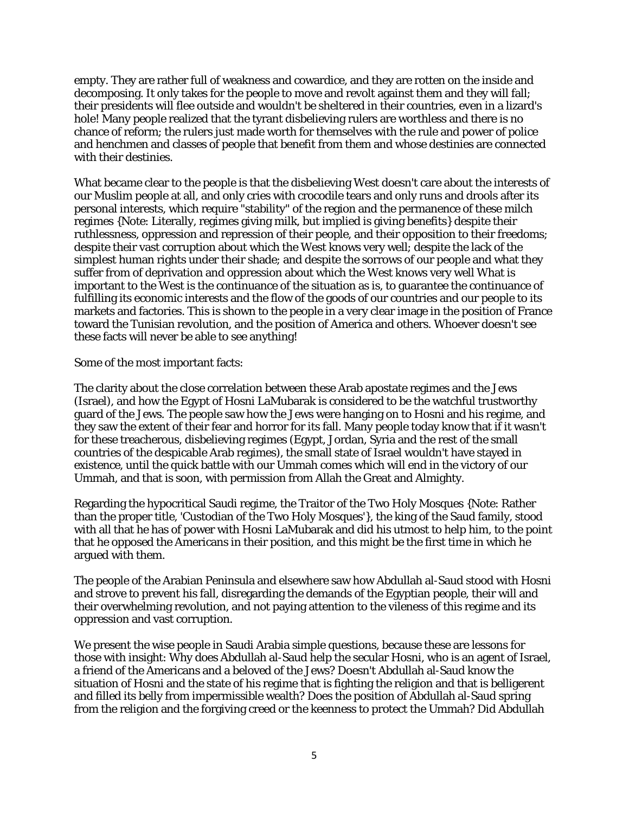empty. They are rather full of weakness and cowardice, and they are rotten on the inside and decomposing. It only takes for the people to move and revolt against them and they will fall; their presidents will flee outside and wouldn't be sheltered in their countries, even in a lizard's hole! Many people realized that the tyrant disbelieving rulers are worthless and there is no chance of reform; the rulers just made worth for themselves with the rule and power of police and henchmen and classes of people that benefit from them and whose destinies are connected with their destinies.

What became clear to the people is that the disbelieving West doesn't care about the interests of our Muslim people at all, and only cries with crocodile tears and only runs and drools after its personal interests, which require "stability" of the region and the permanence of these milch regimes {Note: Literally, regimes giving milk, but implied is giving benefits} despite their ruthlessness, oppression and repression of their people, and their opposition to their freedoms; despite their vast corruption about which the West knows very well; despite the lack of the simplest human rights under their shade; and despite the sorrows of our people and what they suffer from of deprivation and oppression about which the West knows very well What is important to the West is the continuance of the situation as is, to guarantee the continuance of fulfilling its economic interests and the flow of the goods of our countries and our people to its markets and factories. This is shown to the people in a very clear image in the position of France toward the Tunisian revolution, and the position of America and others. Whoever doesn't see these facts will never be able to see anything!

Some of the most important facts:

The clarity about the close correlation between these Arab apostate regimes and the Jews (Israel), and how the Egypt of Hosni LaMubarak is considered to be the watchful trustworthy guard of the Jews. The people saw how the Jews were hanging on to Hosni and his regime, and they saw the extent of their fear and horror for its fall. Many people today know that if it wasn't for these treacherous, disbelieving regimes (Egypt, Jordan, Syria and the rest of the small countries of the despicable Arab regimes), the small state of Israel wouldn't have stayed in existence, until the quick battle with our Ummah comes which will end in the victory of our Ummah, and that is soon, with permission from Allah the Great and Almighty.

Regarding the hypocritical Saudi regime, the Traitor of the Two Holy Mosques {Note: Rather than the proper title, 'Custodian of the Two Holy Mosques'}, the king of the Saud family, stood with all that he has of power with Hosni LaMubarak and did his utmost to help him, to the point that he opposed the Americans in their position, and this might be the first time in which he argued with them.

The people of the Arabian Peninsula and elsewhere saw how Abdullah al-Saud stood with Hosni and strove to prevent his fall, disregarding the demands of the Egyptian people, their will and their overwhelming revolution, and not paying attention to the vileness of this regime and its oppression and vast corruption.

We present the wise people in Saudi Arabia simple questions, because these are lessons for those with insight: Why does Abdullah al-Saud help the secular Hosni, who is an agent of Israel, a friend of the Americans and a beloved of the Jews? Doesn't Abdullah al-Saud know the situation of Hosni and the state of his regime that is fighting the religion and that is belligerent and filled its belly from impermissible wealth? Does the position of Abdullah al-Saud spring from the religion and the forgiving creed or the keenness to protect the Ummah? Did Abdullah